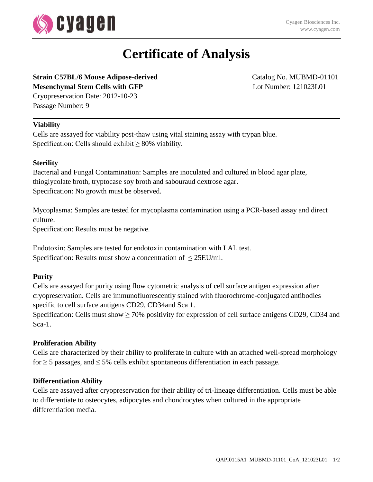

# **Certificate of Analysis**

### **Strain C57BL/6 Mouse Adipose-derived** Catalog No. MUBMD-01101 **Mesenchymal Stem Cells with GFP** Lot Number: 121023L01

Cryopreservation Date: 2012-10-23 Passage Number: 9

### **Viability**

Cells are assayed for viability post-thaw using vital staining assay with trypan blue. Specification: Cells should exhibit  $\geq 80\%$  viability.

### **Sterility**

Bacterial and Fungal Contamination: Samples are inoculated and cultured in blood agar plate, thioglycolate broth, tryptocase soy broth and sabouraud dextrose agar. Specification: No growth must be observed.

Mycoplasma: Samples are tested for mycoplasma contamination using a PCR-based assay and direct culture.

Specification: Results must be negative.

Endotoxin: Samples are tested for endotoxin contamination with LAL test. Specification: Results must show a concentration of  $\leq$  25EU/ml.

### **Purity**

Cells are assayed for purity using flow cytometric analysis of cell surface antigen expression after cryopreservation. Cells are immunofluorescently stained with fluorochrome-conjugated antibodies specific to cell surface antigens CD29, CD34and Sca 1.

Specification: Cells must show  $\geq 70\%$  positivity for expression of cell surface antigens CD29, CD34 and Sca-1.

### **Proliferation Ability**

Cells are characterized by their ability to proliferate in culture with an attached well-spread morphology for  $\geq$  5 passages, and  $\leq$  5% cells exhibit spontaneous differentiation in each passage.

### **Differentiation Ability**

Cells are assayed after cryopreservation for their ability of tri-lineage differentiation. Cells must be able to differentiate to osteocytes, adipocytes and chondrocytes when cultured in the appropriate differentiation media.